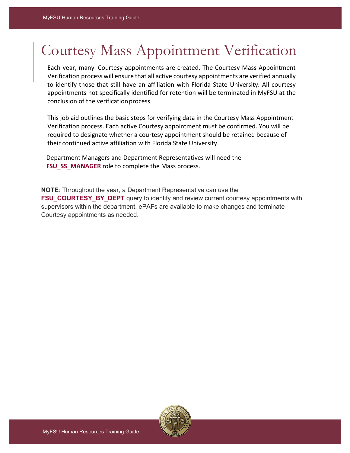## Courtesy Mass Appointment Verification

Each year, many Courtesy appointments are created. The Courtesy Mass Appointment Verification process will ensure that all active courtesy appointments are verified annually to identify those that still have an affiliation with Florida State University. All courtesy appointments not specifically identified for retention will be terminated in MyFSU at the conclusion of the verificationprocess.

This job aid outlines the basic steps for verifying data in the Courtesy Mass Appointment Verification process. Each active Courtesy appointment must be confirmed. You will be required to designate whether a courtesy appointment should be retained because of their continued active affiliation with Florida State University.

Department Managers and Department Representatives will need the **FSU\_SS\_MANAGER** role to complete the Mass process.

**NOTE**: Throughout the year, a Department Representative can use the **FSU\_COURTESY\_BY\_DEPT** query to identify and review current courtesy appointments with supervisors within the department. ePAFs are available to make changes and terminate Courtesy appointments as needed.

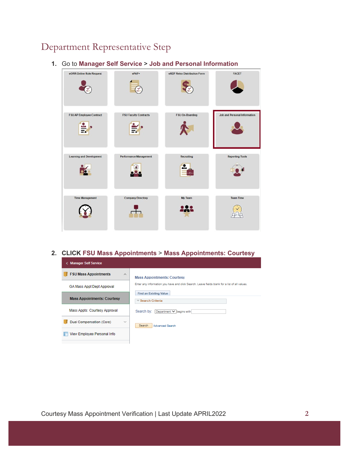## Department Representative Step

**1.** Go to **Manager Self Service** > **Job and Personal Information**



**2. CLICK FSU Mass Appointments** > **Mass Appointments: Courtesy**

| <b>Manager Self Service</b><br>∢         |                                                                                               |
|------------------------------------------|-----------------------------------------------------------------------------------------------|
| <b>FSU Mass Appointments</b><br>$\wedge$ | <b>Mass Appointments: Courtesy</b>                                                            |
| GA Mass Appt Dept Approval               | Enter any information you have and click Search. Leave fields blank for a list of all values. |
| <b>Mass Appointments: Courtesy</b>       | <b>Find an Existing Value</b><br>Search Criteria                                              |
| Mass Appts: Courtesy Approval            | Search by: Department V begins with                                                           |
| Dual Compensation (Core)<br>$\checkmark$ | Search<br><b>Advanced Search</b>                                                              |
| View Employee Personal Info              |                                                                                               |
|                                          |                                                                                               |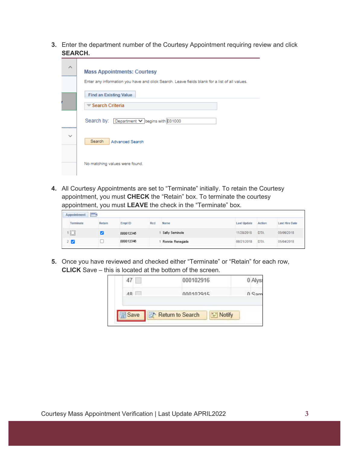**3.** Enter the department number of the Courtesy Appointment requiring review and click **SEARCH.**

| ⋏            | <b>Mass Appointments: Courtesy</b><br>Enter any information you have and click Search. Leave fields blank for a list of all values. |
|--------------|-------------------------------------------------------------------------------------------------------------------------------------|
|              | <b>Find an Existing Value</b><br><b>▼ Search Criteria</b>                                                                           |
|              | Search by: Department V begins with 031000                                                                                          |
| $\checkmark$ | Search<br><b>Advanced Search</b>                                                                                                    |
|              | No matching values were found.                                                                                                      |

**4.** All Courtesy Appointments are set to "Terminate" initially. To retain the Courtesy appointment, you must **CHECK** the "Retain" box. To terminate the courtesy appointment, you must **LEAVE** the check in the "Terminate" box.

| $\overline{(\cdots)}$<br>Appointment |        |           |     |                 |                    |            |                       |
|--------------------------------------|--------|-----------|-----|-----------------|--------------------|------------|-----------------------|
| Terminate                            | Retain | Empl ID   | Rcd | Name            | <b>Last Update</b> | Action     | <b>Last Hire Date</b> |
| ' 0                                  |        | 000012345 |     | Sally Seminole  | 11/28/2018         | <b>DTA</b> | 09/06/2018            |
| 2 M                                  |        | 000012346 |     | Ronnie Renegade | 08/21/2018         | <b>DTA</b> | 05/04/2018            |

**5.** Once you have reviewed and checked either "Terminate" or "Retain" for each row, **CLICK** Save – this is located at the bottom of the screen.

|    |                          | 000102916 |          | 0A <sup>F</sup>      |
|----|--------------------------|-----------|----------|----------------------|
| AB |                          | 000102915 |          | $0$ $C_{\text{air}}$ |
|    | Return to Search<br>Save |           | = Notify |                      |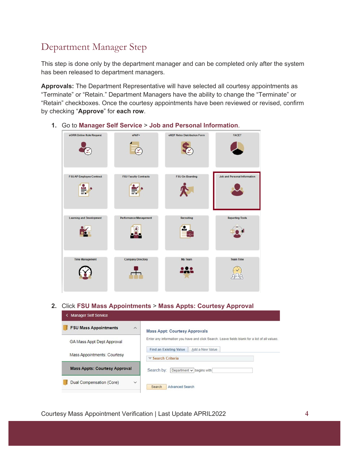## Department Manager Step

This step is done only by the department manager and can be completed only after the system has been released to department managers.

**Approvals:** The Department Representative will have selected all courtesy appointments as "Terminate" or "Retain." Department Managers have the ability to change the "Terminate" or "Retain" checkboxes. Once the courtesy appointments have been reviewed or revised, confirm by checking "**Approve**" for **each row**.

- eORR Online Role Request ePAF+ eRDF Retro Distribution Form FACET **SP** FSU On-Boarding FSU AP Employee Contract **FSU Faculty Contracts Job and Personal Information** ÷. ¥ Æ Learning and Development Recruiting **Reporting Tools** Performance Manager ÷. ò. 6  $\bullet$  .  $\blacksquare$ **Company Directory** My Team Team Time 222  $\begin{pmatrix} 1 \\ 2 \end{pmatrix}$
- **1.** Go to **Manager Self Service** > **Job and Personal Information**.

**2.** Click **FSU Mass Appointments** > **Mass Appts: Courtesy Approval**

| <b>Manager Self Service</b><br>≺         |                                                                                               |
|------------------------------------------|-----------------------------------------------------------------------------------------------|
| <b>FSU Mass Appointments</b><br>$\wedge$ | <b>Mass Appt: Courtesy Approvals</b>                                                          |
| <b>GA Mass Appt Dept Approval</b>        | Enter any information you have and click Search. Leave fields blank for a list of all values. |
| <b>Mass Appointments: Courtesy</b>       | <b>Find an Existing Value</b><br>Add a New Value<br>$\blacktriangledown$ Search Criteria      |
| <b>Mass Appts: Courtesy Approval</b>     | Search by:<br>Department $\vee$ begins with                                                   |
| Dual Compensation (Core)<br>$\checkmark$ | <b>Advanced Search</b><br>Search                                                              |

Courtesy Mass Appointment Verification | Last Update APRIL2022 **4**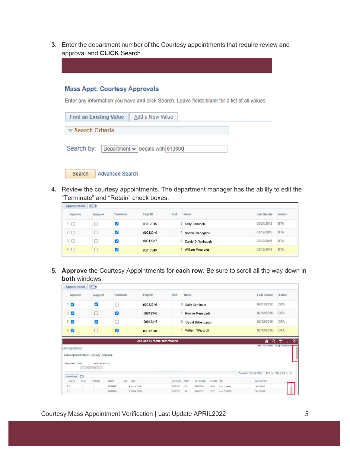**3.** Enter the department number of the Courtesy appointments that require review and approval and **CLICK** Search.

## **Mass Appt: Courtesy Approvals**

Enter any information you have and click Search. Leave fields blank for a list of all values.

| <b>Find an Existing Value</b><br>Add a New Value |  |
|--------------------------------------------------|--|
| $\blacktriangledown$ Search Criteria             |  |
| Search by: Department v begins with 013000       |  |

| <b>Advanced Search</b><br>Search |
|----------------------------------|
|----------------------------------|

**4.** Review the courtesy appointments. The department manager has the ability to edit the "Terminate" and "Retain" check boxes.

| Appointment | $\boxed{\text{min}}$ |           |          |     |                   |                    |            |
|-------------|----------------------|-----------|----------|-----|-------------------|--------------------|------------|
| Approve     | Retain **            | Terminate | Empl ID  | Rcd | Name              | <b>Last Update</b> | Action     |
|             |                      |           | 00012345 |     | Sally Seminole    | 08/21/2012         | <b>DTA</b> |
| $2 \square$ |                      | ◡         | 00012346 |     | Ronnie Renegade   | 02/12/2016         | <b>DTA</b> |
| $3 \Box$    |                      |           | 00012347 |     | David Diffenbaugh | 02/12/2016         | <b>DTA</b> |
| $4 \Box$    |                      | v         | 00012348 |     | William Westcott  | 02/12/2016         | <b>DTA</b> |

**5. Approve** the Courtesy Appointments for **each row**. Be sure to scroll all the way down in **both** windows.

|          | Appointment                                                                        | (n)                               |                         |                                     |             |            |                   |          |                 |                               |                                               |
|----------|------------------------------------------------------------------------------------|-----------------------------------|-------------------------|-------------------------------------|-------------|------------|-------------------|----------|-----------------|-------------------------------|-----------------------------------------------|
|          | Approve                                                                            | Retain ·                          | Terminate               | Empl ID                             | Red         | Name       |                   |          |                 | <b>Last Update</b>            | Action                                        |
|          | ☑                                                                                  | Ø                                 | О                       | 00012345                            | 0           |            | Sally Seminole    |          |                 | 08/21/2012                    | <b>DTA</b>                                    |
|          | 2 <sub>2</sub>                                                                     |                                   | $\overline{\mathbf{z}}$ | 00012346                            |             |            | Ronnie Renegade   |          |                 | 02/12/2016                    | <b>DTA</b>                                    |
|          | $3\sqrt{2}$                                                                        | $\overline{\mathbf{v}}$           | □                       | 00012347                            | 0           |            | David Diffenbaugh |          |                 | 02/12/2016                    | <b>DTA</b>                                    |
|          | ø                                                                                  | $\Box$                            | $\mathbf{z}$            | 00012348                            |             |            | William Westcott  |          |                 | 02/12/2016                    | <b>DTA</b>                                    |
|          |                                                                                    |                                   |                         | <b>Job and Personal Information</b> |             |            |                   |          |                 | $\alpha$<br>侖                 | $\circledcirc$<br>٠<br>►                      |
|          | Fiso Crisy Mass App<br>Mass Appointments: Courtesy: Approval<br>Department: 203002 | Medicine Pensacola<br>Apprové All |                         |                                     |             |            |                   |          |                 |                               | Print   New Window   Help   Personalize Party |
|          | $\overline{[11112]}$<br>Appointment                                                |                                   |                         |                                     |             |            |                   |          |                 | Personalize   Find   27   The | First ( 1.324 of 324 ( 1.85)                  |
|          | Retain<br>Approve                                                                  | Terminate                         | Empl ID<br>Rcd          | Name                                | Last Update | Action     | Last Hire Date    | Job Code | Title           | Supervisor Name               |                                               |
| $1 \Box$ | l Bi                                                                               | b                                 | 00004384/               | 4 Donna Pruett                      | 10/08/2017  | <b>DIA</b> | 06/05/2015        | HVOI2    | Ascc Protessor  | Paul McLeod                   |                                               |
| 2        | ia.                                                                                | IS.                               | 000043851               | 1 Jeffrey Chicola                   | 04/30/2021  | HIR        | 04/30/2021        | HSCC2    | Ascc. Professor |                               |                                               |